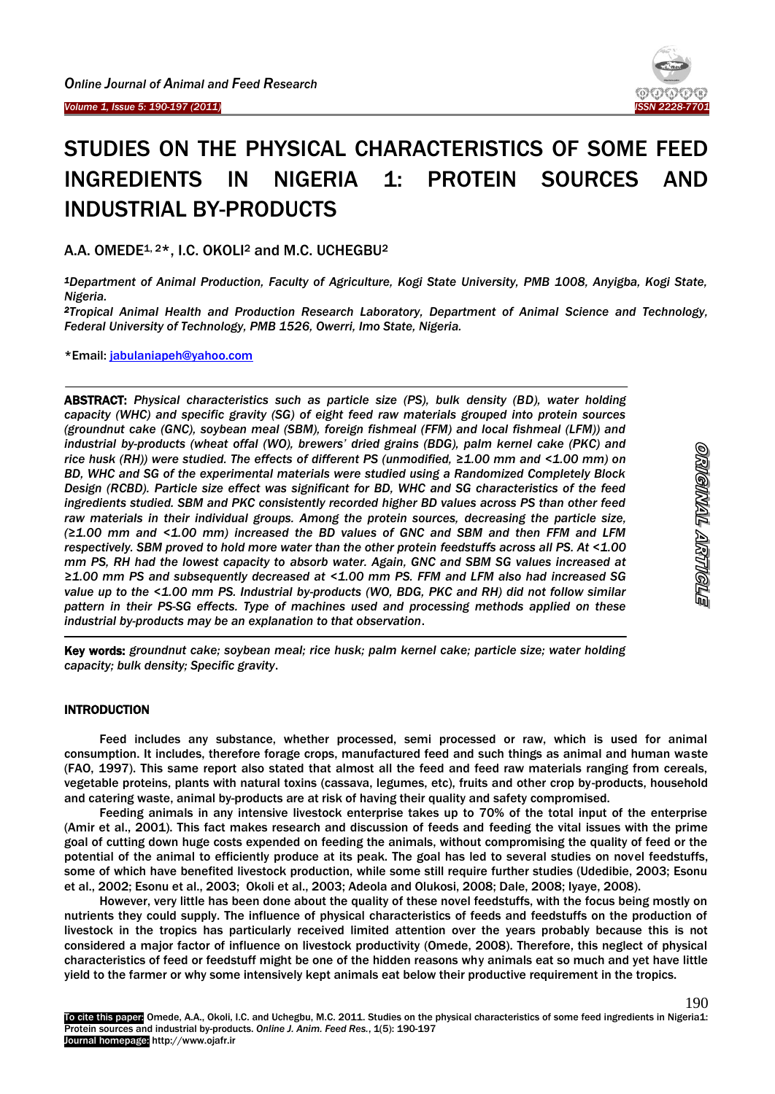Ï

<sup>-</sup>

-



190

ornemnal artitole

# STUDIES ON THE PHYSICAL CHARACTERISTICS OF SOME FEED INGREDIENTS IN NIGERIA 1: PROTEIN SOURCES AND INDUSTRIAL BY-PRODUCTS

A.A. OMEDE<sup>1, 2\*</sup>, I.C. OKOLI<sup>2</sup> and M.C. UCHEGBU<sup>2</sup>

*<sup>1</sup>Department of Animal Production, Faculty of Agriculture, Kogi State University, PMB 1008, Anyigba, Kogi State, Nigeria.*

*<sup>2</sup>Tropical Animal Health and Production Research Laboratory, Department of Animal Science and Technology, Federal University of Technology, PMB 1526, Owerri, Imo State, Nigeria.*

\*Email: [jabulaniapeh@yahoo.com](mailto:jabulaniapeh@yahoo.com)

ABSTRACT: *Physical characteristics such as particle size (PS), bulk density (BD), water holding capacity (WHC) and specific gravity (SG) of eight feed raw materials grouped into protein sources (groundnut cake (GNC), soybean meal (SBM), foreign fishmeal (FFM) and local fishmeal (LFM)) and industrial by-products (wheat offal (WO), brewers' dried grains (BDG), palm kernel cake (PKC) and rice husk (RH)) were studied. The effects of different PS (unmodified, ≥1.00 mm and <1.00 mm) on BD, WHC and SG of the experimental materials were studied using a Randomized Completely Block Design (RCBD). Particle size effect was significant for BD, WHC and SG characteristics of the feed ingredients studied. SBM and PKC consistently recorded higher BD values across PS than other feed raw materials in their individual groups. Among the protein sources, decreasing the particle size, (≥1.00 mm and <1.00 mm) increased the BD values of GNC and SBM and then FFM and LFM respectively. SBM proved to hold more water than the other protein feedstuffs across all PS. At <1.00 mm PS, RH had the lowest capacity to absorb water. Again, GNC and SBM SG values increased at ≥1.00 mm PS and subsequently decreased at <1.00 mm PS. FFM and LFM also had increased SG value up to the <1.00 mm PS. Industrial by-products (WO, BDG, PKC and RH) did not follow similar pattern in their PS-SG effects. Type of machines used and processing methods applied on these industrial by-products may be an explanation to that observation*.

Key words: *groundnut cake; soybean meal; rice husk; palm kernel cake; particle size; water holding capacity; bulk density; Specific gravity*.

# **INTRODUCTION**

Feed includes any substance, whether processed, semi processed or raw, which is used for animal consumption. It includes, therefore forage crops, manufactured feed and such things as animal and human waste (FAO, 1997). This same report also stated that almost all the feed and feed raw materials ranging from cereals, vegetable proteins, plants with natural toxins (cassava, legumes, etc), fruits and other crop by-products, household and catering waste, animal by-products are at risk of having their quality and safety compromised.

Feeding animals in any intensive livestock enterprise takes up to 70% of the total input of the enterprise (Amir et al., 2001). This fact makes research and discussion of feeds and feeding the vital issues with the prime goal of cutting down huge costs expended on feeding the animals, without compromising the quality of feed or the potential of the animal to efficiently produce at its peak. The goal has led to several studies on novel feedstuffs, some of which have benefited livestock production, while some still require further studies (Udedibie, 2003; Esonu et al., 2002; Esonu et al., 2003; Okoli et al., 2003; Adeola and Olukosi, 2008; Dale, 2008; Iyaye, 2008).

However, very little has been done about the quality of these novel feedstuffs, with the focus being mostly on nutrients they could supply. The influence of physical characteristics of feeds and feedstuffs on the production of livestock in the tropics has particularly received limited attention over the years probably because this is not considered a major factor of influence on livestock productivity (Omede, 2008). Therefore, this neglect of physical characteristics of feed or feedstuff might be one of the hidden reasons why animals eat so much and yet have little yield to the farmer or why some intensively kept animals eat below their productive requirement in the tropics.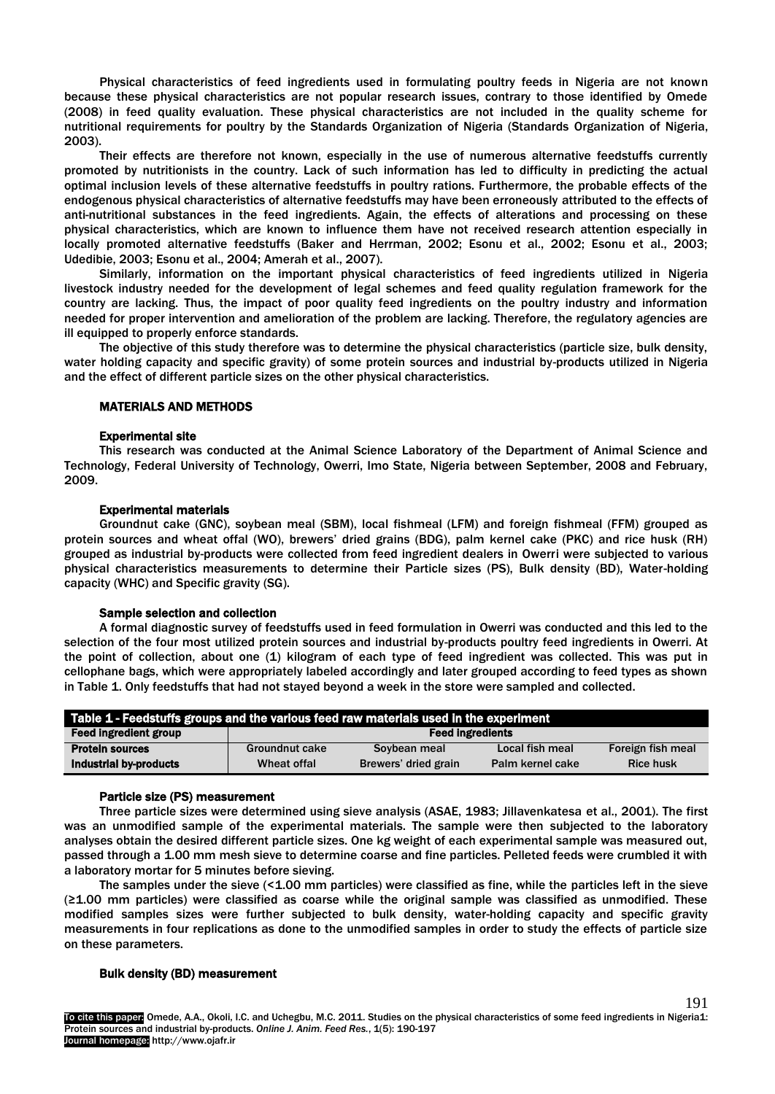Physical characteristics of feed ingredients used in formulating poultry feeds in Nigeria are not known because these physical characteristics are not popular research issues, contrary to those identified by Omede (2008) in feed quality evaluation. These physical characteristics are not included in the quality scheme for nutritional requirements for poultry by the Standards Organization of Nigeria (Standards Organization of Nigeria, 2003).

Their effects are therefore not known, especially in the use of numerous alternative feedstuffs currently promoted by nutritionists in the country. Lack of such information has led to difficulty in predicting the actual optimal inclusion levels of these alternative feedstuffs in poultry rations. Furthermore, the probable effects of the endogenous physical characteristics of alternative feedstuffs may have been erroneously attributed to the effects of anti-nutritional substances in the feed ingredients. Again, the effects of alterations and processing on these physical characteristics, which are known to influence them have not received research attention especially in locally promoted alternative feedstuffs (Baker and Herrman, 2002; Esonu et al., 2002; Esonu et al., 2003; Udedibie, 2003; Esonu et al., 2004; Amerah et al., 2007).

Similarly, information on the important physical characteristics of feed ingredients utilized in Nigeria livestock industry needed for the development of legal schemes and feed quality regulation framework for the country are lacking. Thus, the impact of poor quality feed ingredients on the poultry industry and information needed for proper intervention and amelioration of the problem are lacking. Therefore, the regulatory agencies are ill equipped to properly enforce standards.

The objective of this study therefore was to determine the physical characteristics (particle size, bulk density, water holding capacity and specific gravity) of some protein sources and industrial by-products utilized in Nigeria and the effect of different particle sizes on the other physical characteristics.

## MATERIALS AND METHODS

## Experimental site

This research was conducted at the Animal Science Laboratory of the Department of Animal Science and Technology, Federal University of Technology, Owerri, Imo State, Nigeria between September, 2008 and February, 2009.

## Experimental materials

Groundnut cake (GNC), soybean meal (SBM), local fishmeal (LFM) and foreign fishmeal (FFM) grouped as protein sources and wheat offal (WO), brewers' dried grains (BDG), palm kernel cake (PKC) and rice husk (RH) grouped as industrial by-products were collected from feed ingredient dealers in Owerri were subjected to various physical characteristics measurements to determine their Particle sizes (PS), Bulk density (BD), Water-holding capacity (WHC) and Specific gravity (SG).

#### Sample selection and collection

A formal diagnostic survey of feedstuffs used in feed formulation in Owerri was conducted and this led to the selection of the four most utilized protein sources and industrial by-products poultry feed ingredients in Owerri. At the point of collection, about one (1) kilogram of each type of feed ingredient was collected. This was put in cellophane bags, which were appropriately labeled accordingly and later grouped according to feed types as shown in Table 1. Only feedstuffs that had not stayed beyond a week in the store were sampled and collected.

| Table 1 - Feedstuffs groups and the various feed raw materials used in the experiment |                         |                      |                  |                   |  |
|---------------------------------------------------------------------------------------|-------------------------|----------------------|------------------|-------------------|--|
| <b>Feed ingredient group</b>                                                          | <b>Feed ingredients</b> |                      |                  |                   |  |
| <b>Protein sources</b>                                                                | Groundnut cake          | Soybean meal         | Local fish meal  | Foreign fish meal |  |
| Industrial by-products                                                                | Wheat offal             | Brewers' dried grain | Palm kernel cake | <b>Rice husk</b>  |  |

### Particle size (PS) measurement

Three particle sizes were determined using sieve analysis (ASAE, 1983; Jillavenkatesa et al., 2001). The first was an unmodified sample of the experimental materials. The sample were then subjected to the laboratory analyses obtain the desired different particle sizes. One kg weight of each experimental sample was measured out, passed through a 1.00 mm mesh sieve to determine coarse and fine particles. Pelleted feeds were crumbled it with a laboratory mortar for 5 minutes before sieving.

The samples under the sieve (<1.00 mm particles) were classified as fine, while the particles left in the sieve (≥1.00 mm particles) were classified as coarse while the original sample was classified as unmodified. These modified samples sizes were further subjected to bulk density, water-holding capacity and specific gravity measurements in four replications as done to the unmodified samples in order to study the effects of particle size on these parameters.

## Bulk density (BD) measurement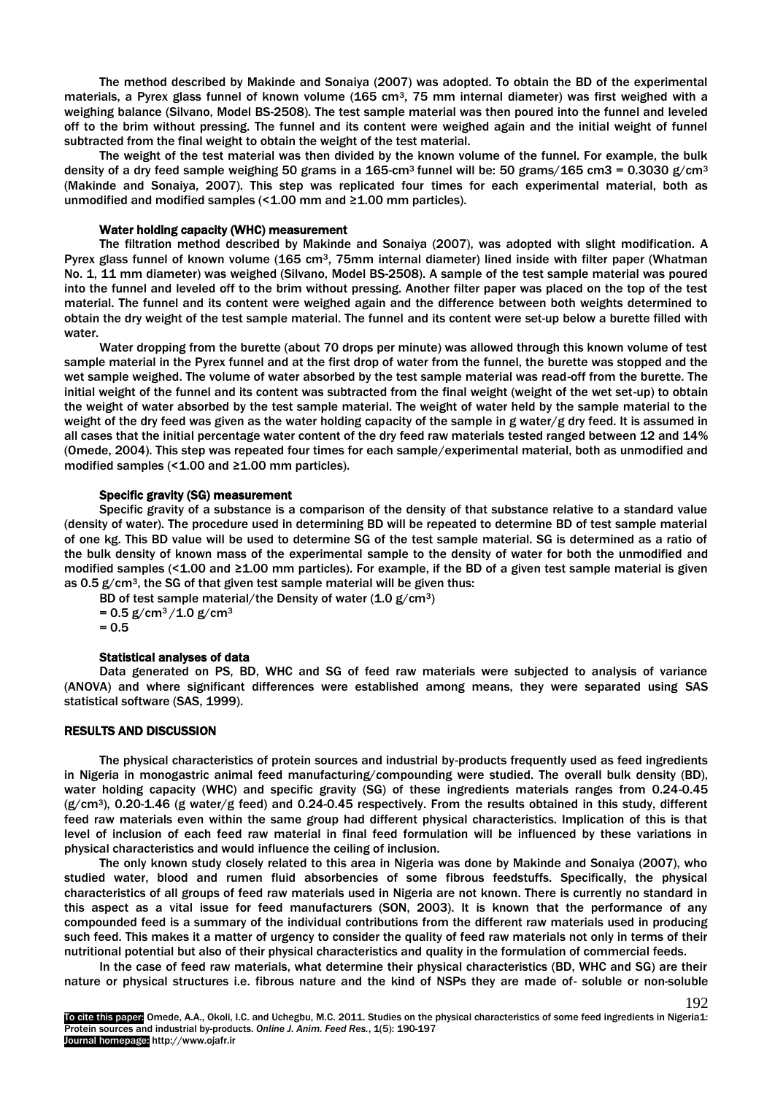The method described by Makinde and Sonaiya (2007) was adopted. To obtain the BD of the experimental materials, a Pyrex glass funnel of known volume (165 cm<sup>3</sup>, 75 mm internal diameter) was first weighed with a weighing balance (Silvano, Model BS-2508). The test sample material was then poured into the funnel and leveled off to the brim without pressing. The funnel and its content were weighed again and the initial weight of funnel subtracted from the final weight to obtain the weight of the test material.

The weight of the test material was then divided by the known volume of the funnel. For example, the bulk density of a dry feed sample weighing 50 grams in a  $165 \text{ cm}^3$  funnel will be: 50 grams/165 cm3 = 0.3030 g/cm<sup>3</sup> (Makinde and Sonaiya, 2007). This step was replicated four times for each experimental material, both as unmodified and modified samples (< $1.00$  mm and ≥ $1.00$  mm particles).

## Water holding capacity (WHC) measurement

The filtration method described by Makinde and Sonaiya (2007), was adopted with slight modification. A Pyrex glass funnel of known volume (165 cm3, 75mm internal diameter) lined inside with filter paper (Whatman No. 1, 11 mm diameter) was weighed (Silvano, Model BS-2508). A sample of the test sample material was poured into the funnel and leveled off to the brim without pressing. Another filter paper was placed on the top of the test material. The funnel and its content were weighed again and the difference between both weights determined to obtain the dry weight of the test sample material. The funnel and its content were set-up below a burette filled with water.

Water dropping from the burette (about 70 drops per minute) was allowed through this known volume of test sample material in the Pyrex funnel and at the first drop of water from the funnel, the burette was stopped and the wet sample weighed. The volume of water absorbed by the test sample material was read-off from the burette. The initial weight of the funnel and its content was subtracted from the final weight (weight of the wet set-up) to obtain the weight of water absorbed by the test sample material. The weight of water held by the sample material to the weight of the dry feed was given as the water holding capacity of the sample in g water/g dry feed. It is assumed in all cases that the initial percentage water content of the dry feed raw materials tested ranged between 12 and 14% (Omede, 2004). This step was repeated four times for each sample/experimental material, both as unmodified and modified samples (< $1.00$  and  $\geq 1.00$  mm particles).

### Specific gravity (SG) measurement

Specific gravity of a substance is a comparison of the density of that substance relative to a standard value (density of water). The procedure used in determining BD will be repeated to determine BD of test sample material of one kg. This BD value will be used to determine SG of the test sample material. SG is determined as a ratio of the bulk density of known mass of the experimental sample to the density of water for both the unmodified and modified samples (<1.00 and ≥1.00 mm particles). For example, if the BD of a given test sample material is given as  $0.5$  g/cm<sup>3</sup>, the SG of that given test sample material will be given thus:

BD of test sample material/the Density of water  $(1.0 \text{ g/cm}^3)$ 

 $= 0.5$  g/cm<sup>3</sup>/1.0 g/cm<sup>3</sup>

 $= 0.5$ 

#### Statistical analyses of data

Data generated on PS, BD, WHC and SG of feed raw materials were subjected to analysis of variance (ANOVA) and where significant differences were established among means, they were separated using SAS statistical software (SAS, 1999).

# RESULTS AND DISCUSSION

The physical characteristics of protein sources and industrial by-products frequently used as feed ingredients in Nigeria in monogastric animal feed manufacturing/compounding were studied. The overall bulk density (BD), water holding capacity (WHC) and specific gravity (SG) of these ingredients materials ranges from 0.24-0.45  $(g/cm<sup>3</sup>)$ , 0.20-1.46 (g water/g feed) and 0.24-0.45 respectively. From the results obtained in this study, different feed raw materials even within the same group had different physical characteristics. Implication of this is that level of inclusion of each feed raw material in final feed formulation will be influenced by these variations in physical characteristics and would influence the ceiling of inclusion.

The only known study closely related to this area in Nigeria was done by Makinde and Sonaiya (2007), who studied water, blood and rumen fluid absorbencies of some fibrous feedstuffs. Specifically, the physical characteristics of all groups of feed raw materials used in Nigeria are not known. There is currently no standard in this aspect as a vital issue for feed manufacturers (SON, 2003). It is known that the performance of any compounded feed is a summary of the individual contributions from the different raw materials used in producing such feed. This makes it a matter of urgency to consider the quality of feed raw materials not only in terms of their nutritional potential but also of their physical characteristics and quality in the formulation of commercial feeds.

In the case of feed raw materials, what determine their physical characteristics (BD, WHC and SG) are their nature or physical structures i.e. fibrous nature and the kind of NSPs they are made of- soluble or non-soluble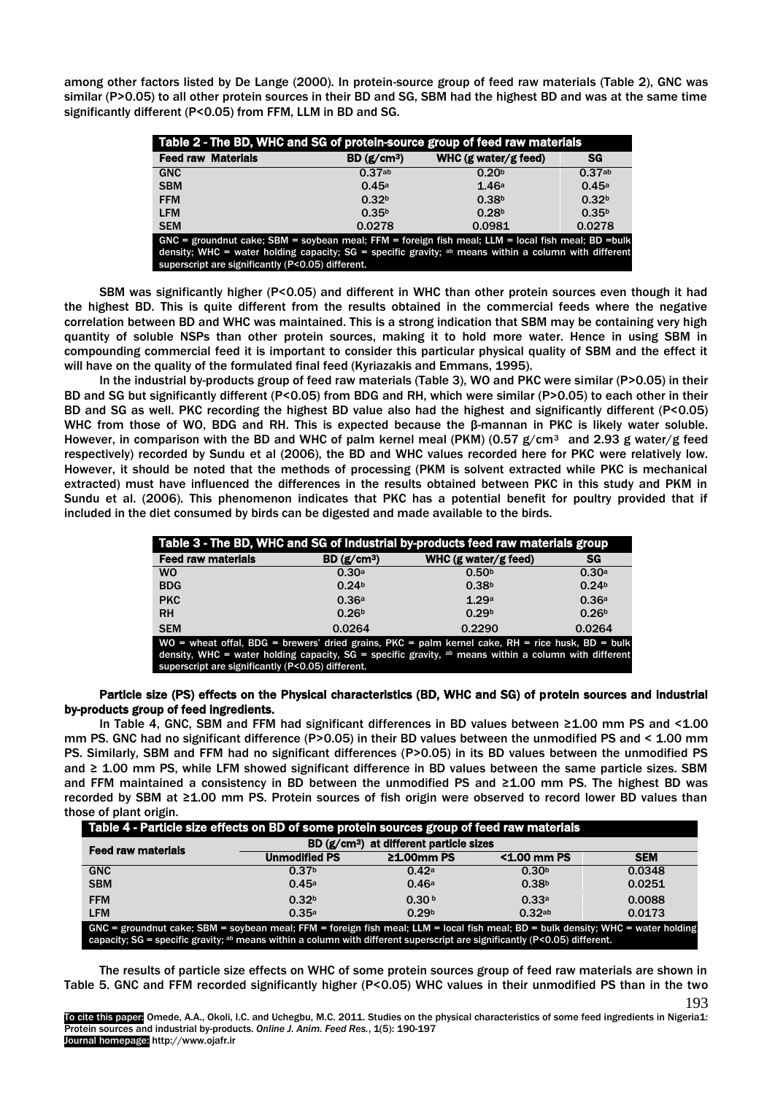among other factors listed by De Lange (2000). In protein-source group of feed raw materials (Table 2), GNC was similar (P>0.05) to all other protein sources in their BD and SG, SBM had the highest BD and was at the same time significantly different (P<0.05) from FFM, LLM in BD and SG.

| Table 2 - The BD, WHC and SG of protein-source group of feed raw materials                                                                                                                                                                                                  |                   |                        |                   |  |  |
|-----------------------------------------------------------------------------------------------------------------------------------------------------------------------------------------------------------------------------------------------------------------------------|-------------------|------------------------|-------------------|--|--|
| <b>Feed raw Materials</b>                                                                                                                                                                                                                                                   | BD $(g/cm3)$      | WHC $(g$ water/g feed) | SG                |  |  |
| <b>GNC</b>                                                                                                                                                                                                                                                                  | 0.37ab            | 0.20 <sup>b</sup>      | 0.37ab            |  |  |
| <b>SBM</b>                                                                                                                                                                                                                                                                  | 0.45a             | 1.46a                  | 0.45a             |  |  |
| <b>FFM</b>                                                                                                                                                                                                                                                                  | 0.32 <sup>b</sup> | 0.38 <sup>b</sup>      | 0.32 <sup>b</sup> |  |  |
| <b>LFM</b>                                                                                                                                                                                                                                                                  | 0.35 <sup>b</sup> | 0.28 <sup>b</sup>      | 0.35 <sup>b</sup> |  |  |
| <b>SEM</b>                                                                                                                                                                                                                                                                  | 0.0278            | 0.0981                 | 0.0278            |  |  |
| $GNC =$ groundnut cake; SBM = soybean meal; FFM = foreign fish meal; LLM = local fish meal; BD = bulk<br>density; WHC = water holding capacity; SG = specific gravity; $a\bar{b}$ means within a column with different<br>superscript are significantly (P<0.05) different. |                   |                        |                   |  |  |

SBM was significantly higher (P<0.05) and different in WHC than other protein sources even though it had the highest BD. This is quite different from the results obtained in the commercial feeds where the negative correlation between BD and WHC was maintained. This is a strong indication that SBM may be containing very high quantity of soluble NSPs than other protein sources, making it to hold more water. Hence in using SBM in compounding commercial feed it is important to consider this particular physical quality of SBM and the effect it will have on the quality of the formulated final feed (Kyriazakis and Emmans, 1995).

In the industrial by-products group of feed raw materials (Table 3), WO and PKC were similar (P>0.05) in their BD and SG but significantly different (P<0.05) from BDG and RH, which were similar (P>0.05) to each other in their BD and SG as well. PKC recording the highest BD value also had the highest and significantly different (P<0.05) WHC from those of WO, BDG and RH. This is expected because the β-mannan in PKC is likely water soluble. However, in comparison with the BD and WHC of palm kernel meal (PKM) (0.57  $g/cm^3$  and 2.93 g water/g feed respectively) recorded by Sundu et al (2006), the BD and WHC values recorded here for PKC were relatively low. However, it should be noted that the methods of processing (PKM is solvent extracted while PKC is mechanical extracted) must have influenced the differences in the results obtained between PKC in this study and PKM in Sundu et al. (2006). This phenomenon indicates that PKC has a potential benefit for poultry provided that if included in the diet consumed by birds can be digested and made available to the birds.

| Table 3 - The BD, WHC and SG of Industrial by-products feed raw materials group |                         |                                                                                                         |                   |  |  |
|---------------------------------------------------------------------------------|-------------------------|---------------------------------------------------------------------------------------------------------|-------------------|--|--|
| <b>Feed raw materials</b>                                                       | BD (g/cm <sup>3</sup> ) | WHC $(g$ water/g feed)                                                                                  | SG                |  |  |
| <b>WO</b>                                                                       | 0.30a                   | 0.50 <sup>b</sup>                                                                                       | 0.30a             |  |  |
| <b>BDG</b>                                                                      | 0.24 <sup>b</sup>       | 0.38 <sup>b</sup>                                                                                       | 0.24 <sup>b</sup> |  |  |
| <b>PKC</b>                                                                      | 0.36a                   | 1.29a                                                                                                   | 0.36a             |  |  |
| <b>RH</b>                                                                       | 0.26 <sup>b</sup>       | 0.29 <sub>b</sub>                                                                                       | 0.26 <sup>b</sup> |  |  |
| <b>SEM</b>                                                                      | 0.0264                  | 0.2290                                                                                                  | 0.0264            |  |  |
|                                                                                 |                         | WO = wheat offal, BDG = brewers' dried grains, PKC = palm kernel cake, RH = rice husk, BD = bulk        |                   |  |  |
|                                                                                 |                         | density, WHC = water holding capacity, $SG =$ specific gravity, ab means within a column with different |                   |  |  |

superscript are significantly (P<0.05) different.

# Particle size (PS) effects on the Physical characteristics (BD, WHC and SG) of protein sources and industrial by-products group of feed ingredients.

In Table 4, GNC, SBM and FFM had significant differences in BD values between ≥1.00 mm PS and <1.00 mm PS. GNC had no significant difference (P>0.05) in their BD values between the unmodified PS and < 1.00 mm PS. Similarly, SBM and FFM had no significant differences (P>0.05) in its BD values between the unmodified PS and ≥ 1.00 mm PS, while LFM showed significant difference in BD values between the same particle sizes. SBM and FFM maintained a consistency in BD between the unmodified PS and ≥1.00 mm PS. The highest BD was recorded by SBM at ≥1.00 mm PS. Protein sources of fish origin were observed to record lower BD values than those of plant origin.

| Table 4 - Particle size effects on BD of some protein sources group of feed raw materials                                                                                                                                                                                       |                                          |                   |                   |            |  |
|---------------------------------------------------------------------------------------------------------------------------------------------------------------------------------------------------------------------------------------------------------------------------------|------------------------------------------|-------------------|-------------------|------------|--|
| <b>Feed raw materials</b>                                                                                                                                                                                                                                                       | BD $(g/cm3)$ at different particle sizes |                   |                   |            |  |
|                                                                                                                                                                                                                                                                                 | <b>Unmodified PS</b>                     | $21.00$ mm PS     | <1.00 mm PS       | <b>SEM</b> |  |
| <b>GNC</b>                                                                                                                                                                                                                                                                      | 0.37 <sup>b</sup>                        | 0.42a             | 0.30 <sup>b</sup> | 0.0348     |  |
| <b>SBM</b>                                                                                                                                                                                                                                                                      | 0.45a                                    | 0.46a             | 0.38 <sup>b</sup> | 0.0251     |  |
| <b>FFM</b>                                                                                                                                                                                                                                                                      | 0.32 <sub>b</sub>                        | 0.30 <sup>b</sup> | 0.33a             | 0.0088     |  |
| <b>LFM</b>                                                                                                                                                                                                                                                                      | 0.35a                                    | 0.29 <sup>b</sup> | 0.32ab            | 0.0173     |  |
| GNC = groundnut cake; SBM = soybean meal; FFM = foreign fish meal; LLM = local fish meal; BD = bulk density; WHC = water holding<br>capacity; SG = specific gravity; <sup>ab</sup> means within a column with different superscript are significantly ( $P < 0.05$ ) different. |                                          |                   |                   |            |  |

193 The results of particle size effects on WHC of some protein sources group of feed raw materials are shown in Table 5. GNC and FFM recorded significantly higher (P<0.05) WHC values in their unmodified PS than in the two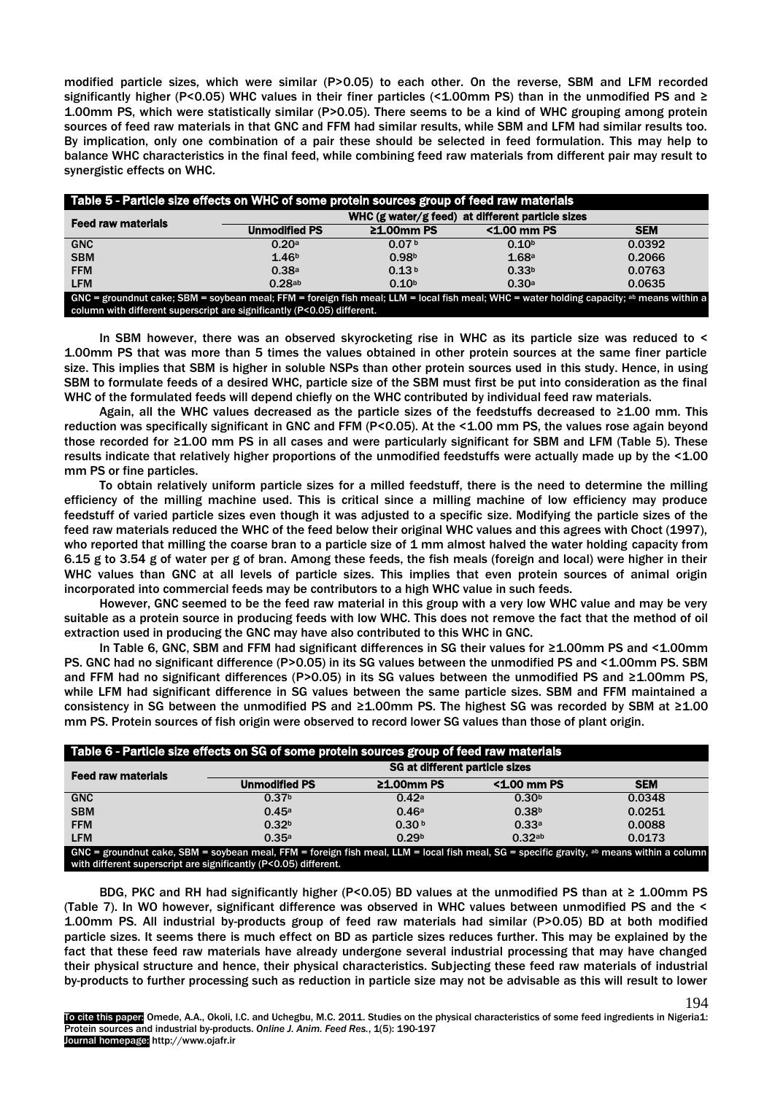modified particle sizes, which were similar (P>0.05) to each other. On the reverse, SBM and LFM recorded significantly higher (P<0.05) WHC values in their finer particles (<1.00mm PS) than in the unmodified PS and  $\geq$ 1.00mm PS, which were statistically similar (P>0.05). There seems to be a kind of WHC grouping among protein sources of feed raw materials in that GNC and FFM had similar results, while SBM and LFM had similar results too. By implication, only one combination of a pair these should be selected in feed formulation. This may help to balance WHC characteristics in the final feed, while combining feed raw materials from different pair may result to synergistic effects on WHC.

| Table 5 - Particle size effects on WHC of some protein sources group of feed raw materials                                                |                                                  |                   |                   |            |
|-------------------------------------------------------------------------------------------------------------------------------------------|--------------------------------------------------|-------------------|-------------------|------------|
| <b>Feed raw materials</b>                                                                                                                 | WHC (g water/g feed) at different particle sizes |                   |                   |            |
|                                                                                                                                           | <b>Unmodified PS</b>                             | $\geq 1.00$ mm PS | <1.00 mm PS       | <b>SEM</b> |
| <b>GNC</b>                                                                                                                                | 0.20a                                            | 0.07 <sup>b</sup> | 0.10 <sup>b</sup> | 0.0392     |
| <b>SBM</b>                                                                                                                                | 1.46 <sup>b</sup>                                | 0.98 <sup>b</sup> | 1.68a             | 0.2066     |
| <b>FFM</b>                                                                                                                                | 0.38a                                            | 0.13 <sup>b</sup> | 0.33 <sup>b</sup> | 0.0763     |
| <b>LFM</b>                                                                                                                                | 0.28ab                                           | 0.10 <sup>b</sup> | 0.30a             | 0.0635     |
| GNC = groundnut cake; SBM = soybean meal; FFM = foreign fish meal; LLM = local fish meal; WHC = water holding capacity; ab means within a |                                                  |                   |                   |            |
| column with different superscript are significantly (P<0.05) different.                                                                   |                                                  |                   |                   |            |

In SBM however, there was an observed skyrocketing rise in WHC as its particle size was reduced to < 1.00mm PS that was more than 5 times the values obtained in other protein sources at the same finer particle size. This implies that SBM is higher in soluble NSPs than other protein sources used in this study. Hence, in using SBM to formulate feeds of a desired WHC, particle size of the SBM must first be put into consideration as the final WHC of the formulated feeds will depend chiefly on the WHC contributed by individual feed raw materials.

Again, all the WHC values decreased as the particle sizes of the feedstuffs decreased to ≥1.00 mm. This reduction was specifically significant in GNC and FFM (P<0.05). At the <1.00 mm PS, the values rose again beyond those recorded for ≥1.00 mm PS in all cases and were particularly significant for SBM and LFM (Table 5). These results indicate that relatively higher proportions of the unmodified feedstuffs were actually made up by the <1.00 mm PS or fine particles.

To obtain relatively uniform particle sizes for a milled feedstuff, there is the need to determine the milling efficiency of the milling machine used. This is critical since a milling machine of low efficiency may produce feedstuff of varied particle sizes even though it was adjusted to a specific size. Modifying the particle sizes of the feed raw materials reduced the WHC of the feed below their original WHC values and this agrees with Choct (1997), who reported that milling the coarse bran to a particle size of 1 mm almost halved the water holding capacity from 6.15 g to 3.54 g of water per g of bran. Among these feeds, the fish meals (foreign and local) were higher in their WHC values than GNC at all levels of particle sizes. This implies that even protein sources of animal origin incorporated into commercial feeds may be contributors to a high WHC value in such feeds.

However, GNC seemed to be the feed raw material in this group with a very low WHC value and may be very suitable as a protein source in producing feeds with low WHC. This does not remove the fact that the method of oil extraction used in producing the GNC may have also contributed to this WHC in GNC.

In Table 6, GNC, SBM and FFM had significant differences in SG their values for ≥1.00mm PS and <1.00mm PS. GNC had no significant difference (P>0.05) in its SG values between the unmodified PS and <1.00mm PS. SBM and FFM had no significant differences (P>0.05) in its SG values between the unmodified PS and ≥1.00mm PS, while LFM had significant difference in SG values between the same particle sizes. SBM and FFM maintained a consistency in SG between the unmodified PS and ≥1.00mm PS. The highest SG was recorded by SBM at ≥1.00 mm PS. Protein sources of fish origin were observed to record lower SG values than those of plant origin.

| Table 6 - Particle size effects on SG of some protein sources group of feed raw materials                                                                                                                                |                                |                   |                   |            |
|--------------------------------------------------------------------------------------------------------------------------------------------------------------------------------------------------------------------------|--------------------------------|-------------------|-------------------|------------|
| <b>Feed raw materials</b>                                                                                                                                                                                                | SG at different particle sizes |                   |                   |            |
|                                                                                                                                                                                                                          | <b>Unmodified PS</b>           | $21.00$ mm PS     | <1.00 mm PS       | <b>SEM</b> |
| <b>GNC</b>                                                                                                                                                                                                               | 0.37 <sup>b</sup>              | 0.42a             | 0.30 <sup>b</sup> | 0.0348     |
| <b>SBM</b>                                                                                                                                                                                                               | 0.45a                          | 0.46a             | 0.38 <sup>b</sup> | 0.0251     |
| <b>FFM</b>                                                                                                                                                                                                               | 0.32 <sup>b</sup>              | 0.30 <sup>b</sup> | 0.33a             | 0.0088     |
| <b>LFM</b>                                                                                                                                                                                                               | 0.35a                          | 0.29 <sub>b</sub> | 0.32ab            | 0.0173     |
| GNC = groundnut cake, SBM = soybean meal, FFM = foreign fish meal, LLM = local fish meal, SG = specific gravity, <sup>ab</sup> means within a column<br>with different superscript are significantly (P<0.05) different. |                                |                   |                   |            |

BDG, PKC and RH had significantly higher (P<0.05) BD values at the unmodified PS than at  $\geq$  1.00mm PS (Table 7). In WO however, significant difference was observed in WHC values between unmodified PS and the < 1.00mm PS. All industrial by-products group of feed raw materials had similar (P>0.05) BD at both modified particle sizes. It seems there is much effect on BD as particle sizes reduces further. This may be explained by the fact that these feed raw materials have already undergone several industrial processing that may have changed their physical structure and hence, their physical characteristics. Subjecting these feed raw materials of industrial by-products to further processing such as reduction in particle size may not be advisable as this will result to lower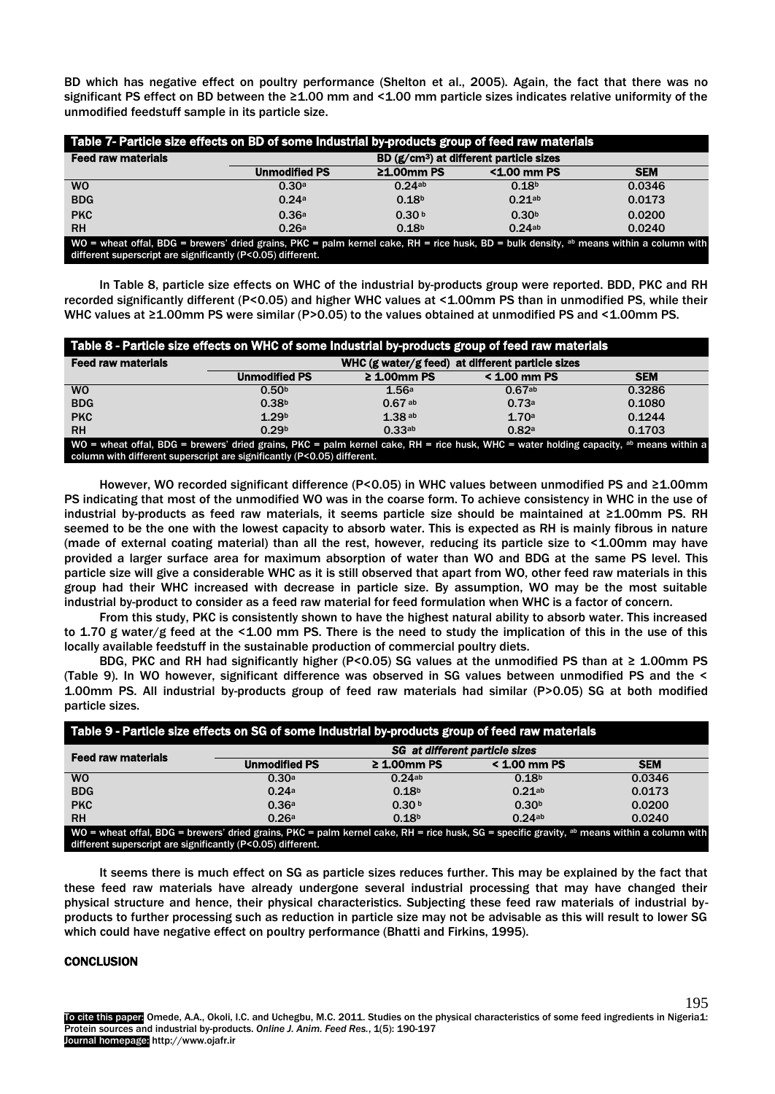BD which has negative effect on poultry performance (Shelton et al., 2005). Again, the fact that there was no significant PS effect on BD between the ≥1.00 mm and <1.00 mm particle sizes indicates relative uniformity of the unmodified feedstuff sample in its particle size.

| Table 7- Particle size effects on BD of some Industrial by-products group of feed raw materials                                                                                                        |                      |                                                     |                   |            |  |
|--------------------------------------------------------------------------------------------------------------------------------------------------------------------------------------------------------|----------------------|-----------------------------------------------------|-------------------|------------|--|
| <b>Feed raw materials</b>                                                                                                                                                                              |                      | BD (g/cm <sup>3</sup> ) at different particle sizes |                   |            |  |
|                                                                                                                                                                                                        | <b>Unmodified PS</b> | $\geq 1.00$ mm PS                                   | <1.00 mm PS       | <b>SEM</b> |  |
| W <sub>O</sub>                                                                                                                                                                                         | 0.30a                | 0.24ab                                              | 0.18 <sup>b</sup> | 0.0346     |  |
| <b>BDG</b>                                                                                                                                                                                             | 0.24a                | 0.18 <sup>b</sup>                                   | $0.21$ ab         | 0.0173     |  |
| <b>PKC</b>                                                                                                                                                                                             | 0.36a                | 0.30 <sup>b</sup>                                   | 0.30 <sup>b</sup> | 0.0200     |  |
| <b>RH</b>                                                                                                                                                                                              | 0.26a                | 0.18 <sup>b</sup>                                   | 0.24ab            | 0.0240     |  |
| WO = wheat offal, BDG = brewers' dried grains, PKC = palm kernel cake, RH = rice husk, BD = bulk density, ab means within a column with<br>different superscript are significantly (P<0.05) different. |                      |                                                     |                   |            |  |

In Table 8, particle size effects on WHC of the industrial by-products group were reported. BDD, PKC and RH recorded significantly different (P<0.05) and higher WHC values at <1.00mm PS than in unmodified PS, while their WHC values at ≥1.00mm PS were similar (P>0.05) to the values obtained at unmodified PS and <1.00mm PS.

| Table 8 - Particle size effects on WHC of some Industrial by-products group of feed raw materials                                                                                                                            |                                                  |                  |                   |            |
|------------------------------------------------------------------------------------------------------------------------------------------------------------------------------------------------------------------------------|--------------------------------------------------|------------------|-------------------|------------|
| <b>Feed raw materials</b>                                                                                                                                                                                                    | WHC (g water/g feed) at different particle sizes |                  |                   |            |
|                                                                                                                                                                                                                              | <b>Unmodified PS</b>                             | $\geq$ 1.00mm PS | < 1.00 mm PS      | <b>SEM</b> |
| <b>WO</b>                                                                                                                                                                                                                    | 0.50 <sup>b</sup>                                | 1.56a            | 0.67ab            | 0.3286     |
| <b>BDG</b>                                                                                                                                                                                                                   | 0.38 <sup>b</sup>                                | $0.67$ ab        | 0.73a             | 0.1080     |
| <b>PKC</b>                                                                                                                                                                                                                   | 1.29 <sup>b</sup>                                | 1.38ab           | 1.70a             | 0.1244     |
| <b>RH</b>                                                                                                                                                                                                                    | 0.29 <sup>b</sup>                                | 0.33ab           | 0.82 <sup>a</sup> | 0.1703     |
| WO = wheat offal, BDG = brewers' dried grains, PKC = palm kernel cake, RH = rice husk, WHC = water holding capacity, <sup>ab</sup> means within a<br>column with different superscript are significantly (P<0.05) different. |                                                  |                  |                   |            |

However, WO recorded significant difference (P<0.05) in WHC values between unmodified PS and ≥1.00mm PS indicating that most of the unmodified WO was in the coarse form. To achieve consistency in WHC in the use of industrial by-products as feed raw materials, it seems particle size should be maintained at ≥1.00mm PS. RH seemed to be the one with the lowest capacity to absorb water. This is expected as RH is mainly fibrous in nature (made of external coating material) than all the rest, however, reducing its particle size to <1.00mm may have provided a larger surface area for maximum absorption of water than WO and BDG at the same PS level. This particle size will give a considerable WHC as it is still observed that apart from WO, other feed raw materials in this group had their WHC increased with decrease in particle size. By assumption, WO may be the most suitable industrial by-product to consider as a feed raw material for feed formulation when WHC is a factor of concern.

From this study, PKC is consistently shown to have the highest natural ability to absorb water. This increased to 1.70 g water/g feed at the <1.00 mm PS. There is the need to study the implication of this in the use of this locally available feedstuff in the sustainable production of commercial poultry diets.

BDG, PKC and RH had significantly higher (P<0.05) SG values at the unmodified PS than at  $\geq$  1.00mm PS (Table 9). In WO however, significant difference was observed in SG values between unmodified PS and the < 1.00mm PS. All industrial by-products group of feed raw materials had similar (P>0.05) SG at both modified particle sizes.

| Table 9 - Particle size effects on SG of some Industrial by-products group of feed raw materials                                                                                                                        |                                |                   |                   |            |
|-------------------------------------------------------------------------------------------------------------------------------------------------------------------------------------------------------------------------|--------------------------------|-------------------|-------------------|------------|
| <b>Feed raw materials</b>                                                                                                                                                                                               | SG at different particle sizes |                   |                   |            |
|                                                                                                                                                                                                                         | <b>Unmodified PS</b>           | $\geq 1.00$ mm PS | < 1.00 mm PS      | <b>SEM</b> |
| <b>WO</b>                                                                                                                                                                                                               | 0.30a                          | 0.24ab            | 0.18 <sup>b</sup> | 0.0346     |
| <b>BDG</b>                                                                                                                                                                                                              | 0.24a                          | 0.18 <sup>b</sup> | $0.21^{ab}$       | 0.0173     |
| <b>PKC</b>                                                                                                                                                                                                              | 0.36a                          | 0.30 <sup>b</sup> | 0.30 <sup>b</sup> | 0.0200     |
| <b>RH</b>                                                                                                                                                                                                               | 0.26a                          | 0.18 <sup>b</sup> | 0.24ab            | 0.0240     |
| $W0$ = wheat offal, BDG = brewers' dried grains, PKC = palm kernel cake, RH = rice husk, SG = specific gravity, <sup>ab</sup> means within a column with<br>different superscript are significantly (P<0.05) different. |                                |                   |                   |            |

It seems there is much effect on SG as particle sizes reduces further. This may be explained by the fact that these feed raw materials have already undergone several industrial processing that may have changed their physical structure and hence, their physical characteristics. Subjecting these feed raw materials of industrial byproducts to further processing such as reduction in particle size may not be advisable as this will result to lower SG which could have negative effect on poultry performance (Bhatti and Firkins, 1995).

# **CONCLUSION**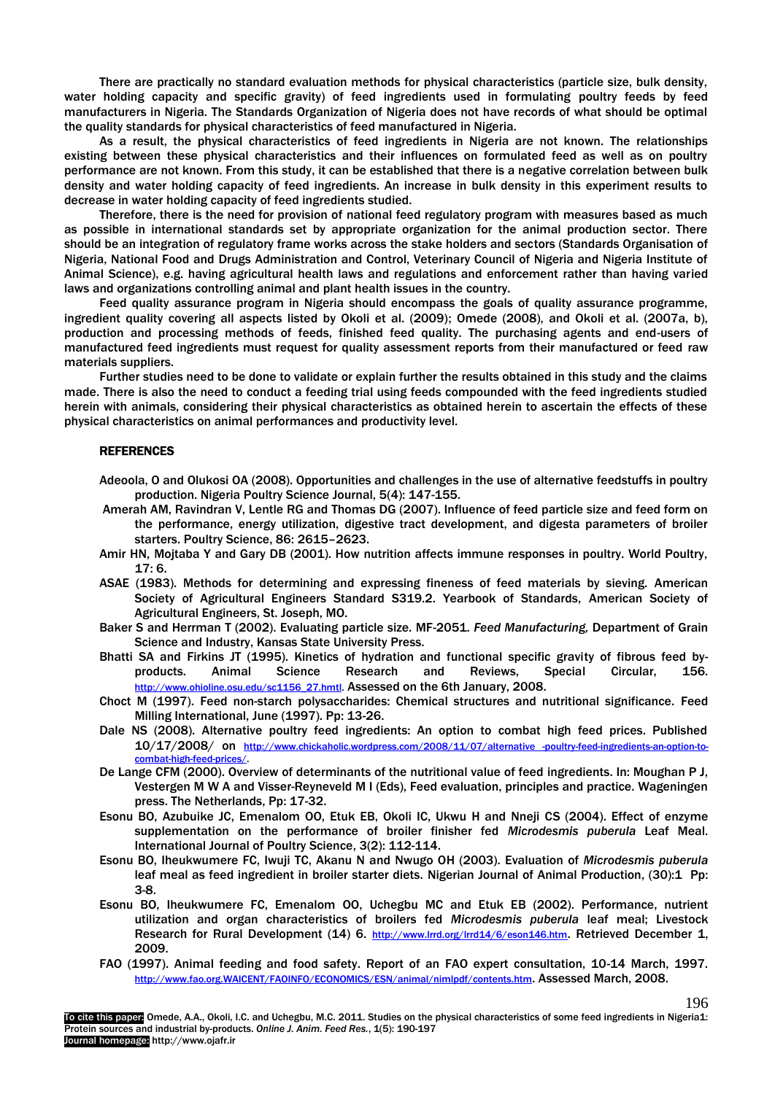There are practically no standard evaluation methods for physical characteristics (particle size, bulk density, water holding capacity and specific gravity) of feed ingredients used in formulating poultry feeds by feed manufacturers in Nigeria. The Standards Organization of Nigeria does not have records of what should be optimal the quality standards for physical characteristics of feed manufactured in Nigeria.

As a result, the physical characteristics of feed ingredients in Nigeria are not known. The relationships existing between these physical characteristics and their influences on formulated feed as well as on poultry performance are not known. From this study, it can be established that there is a negative correlation between bulk density and water holding capacity of feed ingredients. An increase in bulk density in this experiment results to decrease in water holding capacity of feed ingredients studied.

Therefore, there is the need for provision of national feed regulatory program with measures based as much as possible in international standards set by appropriate organization for the animal production sector. There should be an integration of regulatory frame works across the stake holders and sectors (Standards Organisation of Nigeria, National Food and Drugs Administration and Control, Veterinary Council of Nigeria and Nigeria Institute of Animal Science), e.g. having agricultural health laws and regulations and enforcement rather than having varied laws and organizations controlling animal and plant health issues in the country.

Feed quality assurance program in Nigeria should encompass the goals of quality assurance programme, ingredient quality covering all aspects listed by Okoli et al. (2009); Omede (2008), and Okoli et al. (2007a, b), production and processing methods of feeds, finished feed quality. The purchasing agents and end-users of manufactured feed ingredients must request for quality assessment reports from their manufactured or feed raw materials suppliers.

Further studies need to be done to validate or explain further the results obtained in this study and the claims made. There is also the need to conduct a feeding trial using feeds compounded with the feed ingredients studied herein with animals, considering their physical characteristics as obtained herein to ascertain the effects of these physical characteristics on animal performances and productivity level.

## **REFERENCES**

- Adeoola, O and Olukosi OA (2008). Opportunities and challenges in the use of alternative feedstuffs in poultry production. Nigeria Poultry Science Journal, 5(4): 147-155.
- Amerah AM, Ravindran V, Lentle RG and Thomas DG (2007). Influence of feed particle size and feed form on the performance, energy utilization, digestive tract development, and digesta parameters of broiler starters. Poultry Science, 86: 2615–2623.
- Amir HN, Mojtaba Y and Gary DB (2001). How nutrition affects immune responses in poultry. World Poultry,  $17:6$
- ASAE (1983). Methods for determining and expressing fineness of feed materials by sieving. American Society of Agricultural Engineers Standard S319.2. Yearbook of Standards, American Society of Agricultural Engineers, St. Joseph, MO.
- Baker S and Herrman T (2002). Evaluating particle size. MF-2051. *Feed Manufacturing,* Department of Grain Science and Industry, Kansas State University Press.
- Bhatti SA and Firkins JT (1995). Kinetics of hydration and functional specific gravity of fibrous feed by-<br>products. Animal Science Research and Reviews, Special Circular. 156. products. Animal Science Research and Reviews, Special Circular, 156. [http://www.ohioline.osu.edu/sc1156\\_27.hmtl.](http://www.ohioline.osu.edu/sc1156_27.hmtl) Assessed on the 6th January, 2008.
- Choct M (1997). Feed non-starch polysaccharides: Chemical structures and nutritional significance. Feed Milling International, June (1997). Pp: 13-26.
- Dale NS (2008). Alternative poultry feed ingredients: An option to combat high feed prices. Published 10/17/2008/ on [http://www.chickaholic.wordpress.com/2008/11/07/alternative -poultry-feed-ingredients-an-option-to](http://www.chickaholic.wordpress.com/2008/11/07/alternative%20-poultry-feed-ingredients-an-option-to-combat-high-feed-prices/)[combat-high-feed-prices/.](http://www.chickaholic.wordpress.com/2008/11/07/alternative%20-poultry-feed-ingredients-an-option-to-combat-high-feed-prices/)
- De Lange CFM (2000). Overview of determinants of the nutritional value of feed ingredients. In: Moughan P J, Vestergen M W A and Visser-Reyneveld M I (Eds), Feed evaluation, principles and practice. Wageningen press. The Netherlands, Pp: 17-32.
- Esonu BO, Azubuike JC, Emenalom OO, Etuk EB, Okoli IC, Ukwu H and Nneji CS (2004). Effect of enzyme supplementation on the performance of broiler finisher fed *Microdesmis puberula* Leaf Meal. International Journal of Poultry Science, 3(2): 112-114.
- Esonu BO, Iheukwumere FC, Iwuji TC, Akanu N and Nwugo OH (2003). Evaluation of *Microdesmis puberula* leaf meal as feed ingredient in broiler starter diets. Nigerian Journal of Animal Production, [\(30\):1](http://ajol.info/index.php/njap/issue/view/367) Pp: 3-8.
- Esonu BO, Iheukwumere FC, Emenalom OO, Uchegbu MC and Etuk EB (2002). Performance, nutrient utilization and organ characteristics of broilers fed *Microdesmis puberula* leaf meal; Livestock Research for Rural Development (14) 6. <http://www.lrrd.org/lrrd14/6/eson146.htm>. Retrieved December 1, 2009.
- FAO (1997). Animal feeding and food safety. Report of an FAO expert consultation, 10-14 March, 1997. [http://www.fao.org.WAICENT/FAOINFO/ECONOMICS/ESN/animal/nimlpdf/contents.htm](http://www.fao.org.waicent/FAOINFO/ECONOMICS/ESN/animal/nimlpdf/contents.htm). Assessed March, 2008.